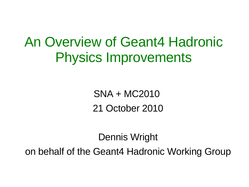An Overview of Geant4 Hadronic Physics Improvements

> SNA + MC2010 21 October 2010

Dennis Wright

on behalf of the Geant4 Hadronic Working Group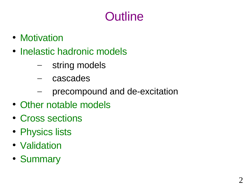# **Outline**

- Motivation
- Inelastic hadronic models
	- string models
	- cascades
	- precompound and de-excitation
- Other notable models
- Cross sections
- Physics lists
- Validation
- Summary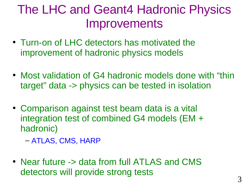### The LHC and Geant4 Hadronic Physics Improvements

- Turn-on of LHC detectors has motivated the improvement of hadronic physics models
- Most validation of G4 hadronic models done with "thin target" data -> physics can be tested in isolation
- Comparison against test beam data is a vital integration test of combined G4 models (EM + hadronic)
	- ATLAS, CMS, HARP
- Near future -> data from full ATLAS and CMS detectors will provide strong tests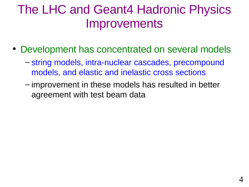### The LHC and Geant4 Hadronic Physics Improvements

- Development has concentrated on several models
	- string models, intra-nuclear cascades, precompound models, and elastic and inelastic cross sections
	- improvement in these models has resulted in better agreement with test beam data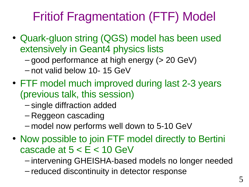# Fritiof Fragmentation (FTF) Model

- Quark-gluon string (QGS) model has been used extensively in Geant4 physics lists
	- good performance at high energy (> 20 GeV)
	- not valid below 10- 15 GeV
- FTF model much improved during last 2-3 years (previous talk, this session)
	- single diffraction added
	- Reggeon cascading
	- model now performs well down to 5-10 GeV
- Now possible to join FTF model directly to Bertini cascade at  $5 < E < 10$  GeV
	- intervening GHEISHA-based models no longer needed
	- reduced discontinuity in detector response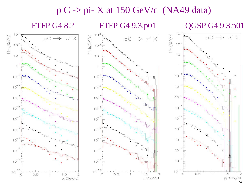#### $p C \rightarrow pi-X$  at 150 GeV/c (NA49 data)

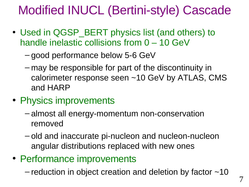# Modified INUCL (Bertini-style) Cascade

- Used in QGSP\_BERT physics list (and others) to handle inelastic collisions from 0 – 10 GeV
	- good performance below 5-6 GeV
	- may be responsible for part of the discontinuity in calorimeter response seen ~10 GeV by ATLAS, CMS and HARP
- Physics improvements
	- almost all energy-momentum non-conservation removed
	- old and inaccurate pi-nucleon and nucleon-nucleon angular distributions replaced with new ones
- Performance improvements
	- reduction in object creation and deletion by factor  $\sim$ 10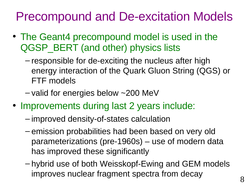### Precompound and De-excitation Models

- The Geant4 precompound model is used in the QGSP\_BERT (and other) physics lists
	- responsible for de-exciting the nucleus after high energy interaction of the Quark Gluon String (QGS) or FTF models
	- $-$  valid for energies below  $\sim$  200 MeV
- Improvements during last 2 years include:
	- improved density-of-states calculation
	- emission probabilities had been based on very old parameterizations (pre-1960s) – use of modern data has improved these significantly
	- hybrid use of both Weisskopf-Ewing and GEM models improves nuclear fragment spectra from decay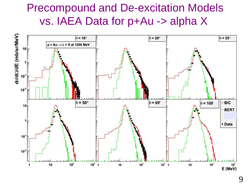#### Precompound and De-excitation Models vs. IAEA Data for p+Au -> alpha X

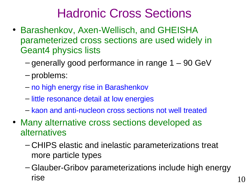### Hadronic Cross Sections

- Barashenkov, Axen-Wellisch, and GHEISHA parameterized cross sections are used widely in Geant4 physics lists
	- $-$  generally good performance in range  $1 90$  GeV
	- problems:
	- no high energy rise in Barashenkov
	- little resonance detail at low energies
	- kaon and anti-nucleon cross sections not well treated
- Many alternative cross sections developed as alternatives
	- CHIPS elastic and inelastic parameterizations treat more particle types
	- Glauber-Gribov parameterizations include high energy  $rise$  10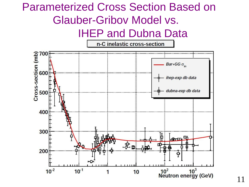#### Parameterized Cross Section Based on Glauber-Gribov Model vs. IHEP and Dubna Data



11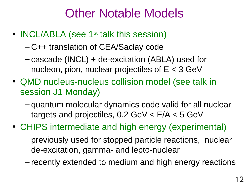### Other Notable Models

- **INCL/ABLA** (see 1<sup>st</sup> talk this session)
	- C++ translation of CEA/Saclay code
	- cascade (INCL) + de-excitation (ABLA) used for nucleon, pion, nuclear projectiles of  $E < 3$  GeV
- QMD nucleus-nucleus collision model (see talk in session J1 Monday)
	- quantum molecular dynamics code valid for all nuclear targets and projectiles, 0.2 GeV < E/A < 5 GeV
- CHIPS intermediate and high energy (experimental)
	- previously used for stopped particle reactions, nuclear de-excitation, gamma- and lepto-nuclear
	- recently extended to medium and high energy reactions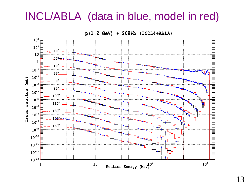#### INCL/ABLA (data in blue, model in red)

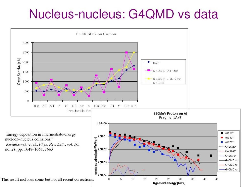### Nucleus-nucleus: G4QMD vs data

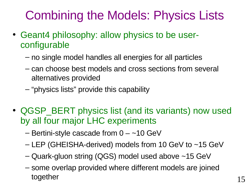# Combining the Models: Physics Lists

- Geant4 philosophy: allow physics to be userconfigurable
	- no single model handles all energies for all particles
	- can choose best models and cross sections from several alternatives provided
	- "physics lists" provide this capability
- QGSP BERT physics list (and its variants) now used by all four major LHC experiments
	- $-$  Bertini-style cascade from  $0 -10$  GeV
	- LEP (GHEISHA-derived) models from 10 GeV to ~15 GeV
	- Quark-gluon string (QGS) model used above ~15 GeV
	- some overlap provided where different models are joined together 15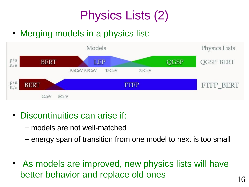# Physics Lists (2)

• Merging models in a physics list:



- Discontinuities can arise if:
	- models are not well-matched
	- energy span of transition from one model to next is too small
- As models are improved, new physics lists will have better behavior and replace old ones 16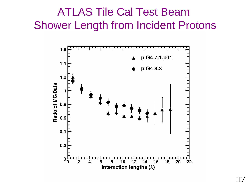#### ATLAS Tile Cal Test Beam Shower Length from Incident Protons

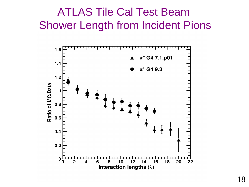#### ATLAS Tile Cal Test Beam Shower Length from Incident Pions

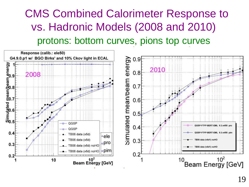### CMS Combined Calorimeter Response to vs. Hadronic Models (2008 and 2010) protons: bottom curves, pions top curves

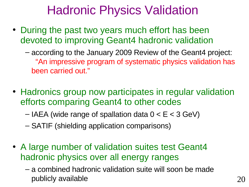## Hadronic Physics Validation

- During the past two years much effort has been devoted to improving Geant4 hadronic validation
	- according to the January 2009 Review of the Geant4 project: "An impressive program of systematic physics validation has been carried out."
- Hadronics group now participates in regular validation efforts comparing Geant4 to other codes
	- $-$  IAEA (wide range of spallation data  $0 < E < 3$  GeV)
	- SATIF (shielding application comparisons)
- A large number of validation suites test Geant4 hadronic physics over all energy ranges
	- a combined hadronic validation suite will soon be made publicly available 20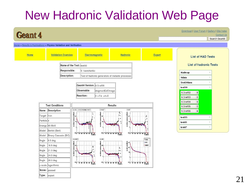# New Hadronic Validation Web Page